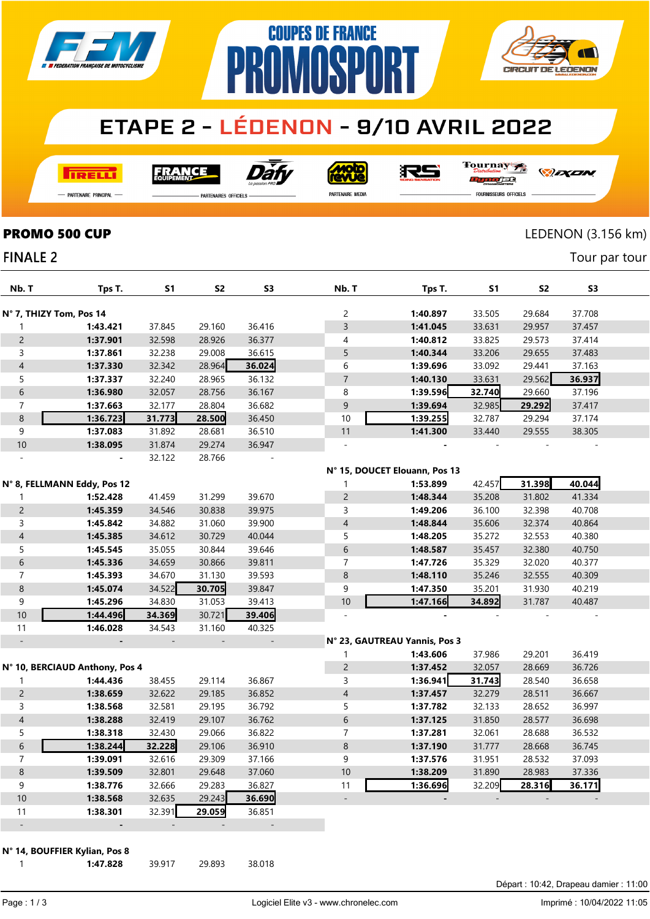

## **ETAPE 2 - LÉDENON - 9/10 AVRIL 2022**

**COUPES DE FRANCE** 

**MASPA** 

**RELL** 

Dàt **FRANCE** 

**<u>dow</u>** 

RS

Tournay ra

*DEXEN* 

**CIRCUIT DE LEDENON** 

- Partenaire Principal

**FINALE 2** 

**PARTENAIRES OFFICIELS** 

PR

PARTENAIRE MEDIA

FOURNISSEURS OFFICIELS

### **PROMO 500 CUP** LEDENON (3.156 km)

Tour par tour

| Nb. T                    | Tps T.                         | S1     | S <sub>2</sub> | S <sub>3</sub> | Nb. T                    | Tps T.                        | S1     | S2     | S3     |  |
|--------------------------|--------------------------------|--------|----------------|----------------|--------------------------|-------------------------------|--------|--------|--------|--|
| N° 7, THIZY Tom, Pos 14  |                                |        |                |                | 2                        | 1:40.897                      | 33.505 | 29.684 | 37.708 |  |
| 1                        | 1:43.421                       | 37.845 | 29.160         | 36.416         | 3                        | 1:41.045                      | 33.631 | 29.957 | 37.457 |  |
| $\overline{c}$           | 1:37.901                       | 32.598 | 28.926         | 36.377         | 4                        | 1:40.812                      | 33.825 | 29.573 | 37.414 |  |
| 3                        | 1:37.861                       | 32.238 | 29.008         | 36.615         | 5                        | 1:40.344                      | 33.206 | 29.655 | 37.483 |  |
| $\overline{\mathcal{A}}$ | 1:37.330                       | 32.342 | 28.964         | 36.024         | 6                        | 1:39.696                      | 33.092 | 29.441 | 37.163 |  |
| 5                        | 1:37.337                       | 32.240 | 28.965         | 36.132         | $\overline{7}$           | 1:40.130                      | 33.631 | 29.562 | 36.937 |  |
| 6                        | 1:36.980                       | 32.057 | 28.756         | 36.167         | 8                        | 1:39.596                      | 32.740 | 29.660 | 37.196 |  |
| $\overline{7}$           | 1:37.663                       | 32.177 | 28.804         | 36.682         | $\mathsf 9$              | 1:39.694                      | 32.985 | 29.292 | 37.417 |  |
| 8                        | 1:36.723                       | 31.773 | 28.500         | 36.450         | 10                       | 1:39.255                      | 32.787 | 29.294 | 37.174 |  |
| 9                        | 1:37.083                       | 31.892 | 28.681         | 36.510         | 11                       | 1:41.300                      | 33.440 | 29.555 | 38.305 |  |
| $10\,$                   | 1:38.095                       | 31.874 | 29.274         | 36.947         | $\overline{\phantom{a}}$ |                               |        |        |        |  |
|                          |                                | 32.122 | 28.766         |                |                          |                               |        |        |        |  |
|                          |                                |        |                |                |                          | N° 15, DOUCET Elouann, Pos 13 |        |        |        |  |
|                          | N° 8, FELLMANN Eddy, Pos 12    |        |                |                |                          | 1:53.899                      | 42.457 | 31.398 | 40.044 |  |
| 1                        | 1:52.428                       | 41.459 | 31.299         | 39.670         | $\overline{c}$           | 1:48.344                      | 35.208 | 31.802 | 41.334 |  |
| $\overline{c}$           | 1:45.359                       | 34.546 | 30.838         | 39.975         | 3                        | 1:49.206                      | 36.100 | 32.398 | 40.708 |  |
| 3                        | 1:45.842                       | 34.882 | 31.060         | 39.900         | $\overline{4}$           | 1:48.844                      | 35.606 | 32.374 | 40.864 |  |
| $\overline{\mathcal{A}}$ | 1:45.385                       | 34.612 | 30.729         | 40.044         | 5                        | 1:48.205                      | 35.272 | 32.553 | 40.380 |  |
| 5                        | 1:45.545                       | 35.055 | 30.844         | 39.646         | 6                        | 1:48.587                      | 35.457 | 32.380 | 40.750 |  |
| 6                        | 1:45.336                       | 34.659 | 30.866         | 39.811         | 7                        | 1:47.726                      | 35.329 | 32.020 | 40.377 |  |
| $\overline{7}$           | 1:45.393                       | 34.670 | 31.130         | 39.593         | $\bf 8$                  | 1:48.110                      | 35.246 | 32.555 | 40.309 |  |
| 8                        | 1:45.074                       | 34.522 | 30.705         | 39.847         | 9                        | 1:47.350                      | 35.201 | 31.930 | 40.219 |  |
| 9                        | 1:45.296                       | 34.830 | 31.053         | 39.413         | $10$                     | 1:47.166                      | 34.892 | 31.787 | 40.487 |  |
| 10                       | 1:44.496                       | 34.369 | 30.721         | 39.406         | $\bar{\phantom{a}}$      |                               |        |        |        |  |
| 11                       | 1:46.028                       | 34.543 | 31.160         | 40.325         |                          |                               |        |        |        |  |
|                          |                                |        |                |                |                          | N° 23, GAUTREAU Yannis, Pos 3 |        |        |        |  |
|                          |                                |        |                |                | 1                        | 1:43.606                      | 37.986 | 29.201 | 36.419 |  |
|                          | N° 10, BERCIAUD Anthony, Pos 4 |        |                |                | $\overline{c}$           | 1:37.452                      | 32.057 | 28.669 | 36.726 |  |
| 1                        | 1:44.436                       | 38.455 | 29.114         | 36.867         | 3                        | 1:36.941                      | 31.743 | 28.540 | 36.658 |  |
| $\overline{c}$           | 1:38.659                       | 32.622 | 29.185         | 36.852         | 4                        | 1:37.457                      | 32.279 | 28.511 | 36.667 |  |
| 3                        | 1:38.568                       | 32.581 | 29.195         | 36.792         | 5                        | 1:37.782                      | 32.133 | 28.652 | 36.997 |  |
| $\overline{4}$           | 1:38.288                       | 32.419 | 29.107         | 36.762         | 6                        | 1:37.125                      | 31.850 | 28.577 | 36.698 |  |
| 5                        | 1:38.318                       | 32.430 | 29.066         | 36.822         | 7                        | 1:37.281                      | 32.061 | 28.688 | 36.532 |  |
| 6                        | 1:38.244                       | 32.228 | 29.106         | 36.910         | $\,8\,$                  | 1:37.190                      | 31.777 | 28.668 | 36.745 |  |
| $\overline{7}$           | 1:39.091                       | 32.616 | 29.309         | 37.166         | 9                        | 1:37.576                      | 31.951 | 28.532 | 37.093 |  |
| $\bf 8$                  | 1:39.509                       | 32.801 | 29.648         | 37.060         | $10\,$                   | 1:38.209                      | 31.890 | 28.983 | 37.336 |  |
| 9                        | 1:38.776                       | 32.666 | 29.283         | 36.827         | 11                       | 1:36.696                      | 32.209 | 28.316 | 36.171 |  |
| $10\,$                   | 1:38.568                       | 32.635 | 29.243         | 36.690         |                          |                               |        |        |        |  |
| 11                       | 1:38.301                       | 32.391 | 29.059         | 36.851         |                          |                               |        |        |        |  |
| $\overline{a}$           |                                |        |                |                |                          |                               |        |        |        |  |
|                          | N° 14, BOUFFIER Kylian, Pos 8  |        |                |                |                          |                               |        |        |        |  |

**1:47.828** 39.917 29.893 38.018

Départ : 10:42, Drapeau damier : 11:00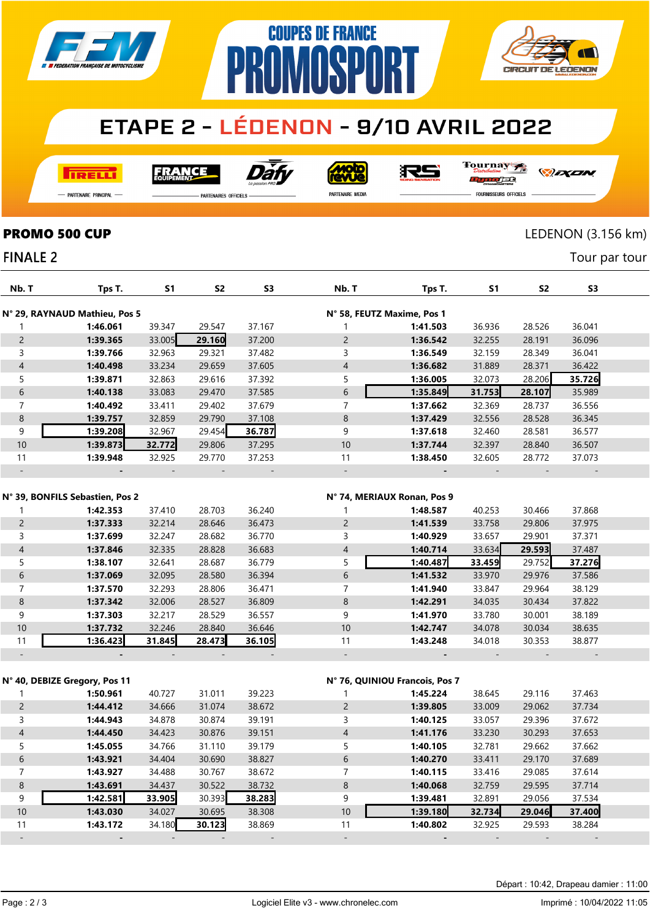

# **PROMOSPORT ETAPE 2 - LÉDENON - 9/10 AVRIL 2022**

**COUPES DE FRANCE** 

**TRELL** 

Dat **FRANCE** 

**Moto** 

RS

Tournay  $\overline{1}$ orse

*DEXEN* 

**CIRCUIT DE LEDENON** 

- Partenaire Principal

**FINALE 2** 

**PARTENAIRES OFFICIELS** 

PARTENAIRE MEDIA

FOURNISSEURS OFFICIELS

### **PROMO 500 CUP** LEDENON (3.156 km)

Tour par tour

| Nb. T                                                          | Tps T.                        | S1     | S <sub>2</sub> | S <sub>3</sub> | Nb. T          | Tps T.                         | S1     | S <sub>2</sub> | S3     |  |
|----------------------------------------------------------------|-------------------------------|--------|----------------|----------------|----------------|--------------------------------|--------|----------------|--------|--|
| N° 29, RAYNAUD Mathieu, Pos 5<br>N° 58, FEUTZ Maxime, Pos 1    |                               |        |                |                |                |                                |        |                |        |  |
| 1                                                              | 1:46.061                      | 39.347 | 29.547         | 37.167         | 1              | 1:41.503                       | 36.936 | 28.526         | 36.041 |  |
| $\overline{2}$                                                 | 1:39.365                      | 33.005 | 29.160         | 37.200         | $\overline{2}$ | 1:36.542                       | 32.255 | 28.191         | 36.096 |  |
| $\mathsf{3}$                                                   | 1:39.766                      | 32.963 | 29.321         | 37.482         | 3              | 1:36.549                       | 32.159 | 28.349         | 36.041 |  |
| $\overline{\mathcal{A}}$                                       | 1:40.498                      | 33.234 | 29.659         | 37.605         | $\overline{4}$ | 1:36.682                       | 31.889 | 28.371         | 36.422 |  |
| 5                                                              | 1:39.871                      | 32.863 | 29.616         | 37.392         | 5              | 1:36.005                       | 32.073 | 28.206         | 35.726 |  |
| $\sqrt{6}$                                                     | 1:40.138                      | 33.083 | 29.470         | 37.585         | 6              | 1:35.849                       | 31.753 | 28.107         | 35.989 |  |
| $\overline{7}$                                                 | 1:40.492                      | 33.411 | 29.402         | 37.679         | $\overline{7}$ | 1:37.662                       | 32.369 | 28.737         | 36.556 |  |
| $\,8\,$                                                        | 1:39.757                      | 32.859 | 29.790         | 37.108         | 8              | 1:37.429                       | 32.556 | 28.528         | 36.345 |  |
| 9                                                              | 1:39.208                      | 32.967 | 29.454         | 36.787         | 9              | 1:37.618                       | 32.460 | 28.581         | 36.577 |  |
| 10                                                             | 1:39.873                      | 32.772 | 29.806         | 37.295         | 10             | 1:37.744                       | 32.397 | 28.840         | 36.507 |  |
| 11                                                             | 1:39.948                      | 32.925 | 29.770         | 37.253         | 11             | 1:38.450                       | 32.605 | 28.772         | 37.073 |  |
|                                                                |                               |        |                |                | $\overline{a}$ |                                |        |                |        |  |
|                                                                |                               |        |                |                |                |                                |        |                |        |  |
| N° 39, BONFILS Sebastien, Pos 2<br>N° 74, MERIAUX Ronan, Pos 9 |                               |        |                |                |                |                                |        |                |        |  |
| 1                                                              | 1:42.353                      | 37.410 | 28.703         | 36.240         | 1              | 1:48.587                       | 40.253 | 30.466         | 37.868 |  |
| $\overline{2}$                                                 | 1:37.333                      | 32.214 | 28.646         | 36.473         | $\overline{c}$ | 1:41.539                       | 33.758 | 29.806         | 37.975 |  |
| 3                                                              | 1:37.699                      | 32.247 | 28.682         | 36.770         | 3              | 1:40.929                       | 33.657 | 29.901         | 37.371 |  |
| $\overline{4}$                                                 | 1:37.846                      | 32.335 | 28.828         | 36.683         | $\overline{4}$ | 1:40.714                       | 33.634 | 29.593         | 37.487 |  |
| 5                                                              | 1:38.107                      | 32.641 | 28.687         | 36.779         | 5              | 1:40.487                       | 33.459 | 29.752         | 37.276 |  |
| $\sqrt{6}$                                                     | 1:37.069                      | 32.095 | 28.580         | 36.394         | 6              | 1:41.532                       | 33.970 | 29.976         | 37.586 |  |
| $\overline{7}$                                                 | 1:37.570                      | 32.293 | 28.806         | 36.471         | $\overline{7}$ | 1:41.940                       | 33.847 | 29.964         | 38.129 |  |
| 8                                                              | 1:37.342                      | 32.006 | 28.527         | 36.809         | 8              | 1:42.291                       | 34.035 | 30.434         | 37.822 |  |
| 9                                                              | 1:37.303                      | 32.217 | 28.529         | 36.557         | 9              | 1:41.970                       | 33.780 | 30.001         | 38.189 |  |
| 10                                                             | 1:37.732                      | 32.246 | 28.840         | 36.646         | 10             | 1:42.747                       | 34.078 | 30.034         | 38.635 |  |
| 11                                                             | 1:36.423                      | 31.845 | 28.473         | 36.105         | 11             | 1:43.248                       | 34.018 | 30.353         | 38.877 |  |
|                                                                |                               |        |                |                | $\overline{a}$ |                                |        |                |        |  |
|                                                                |                               |        |                |                |                |                                |        |                |        |  |
|                                                                | N° 40, DEBIZE Gregory, Pos 11 |        |                |                |                | N° 76, QUINIOU Francois, Pos 7 |        |                |        |  |
| 1                                                              | 1:50.961                      | 40.727 | 31.011         | 39.223         | 1              | 1:45.224                       | 38.645 | 29.116         | 37.463 |  |
| $\overline{c}$                                                 | 1:44.412                      | 34.666 | 31.074         | 38.672         | $\overline{c}$ | 1:39.805                       | 33.009 | 29.062         | 37.734 |  |
| 3                                                              | 1:44.943                      | 34.878 | 30.874         | 39.191         | 3              | 1:40.125                       | 33.057 | 29.396         | 37.672 |  |
| $\overline{\mathcal{A}}$                                       | 1:44.450                      | 34.423 | 30.876         | 39.151         | 4              | 1:41.176                       | 33.230 | 30.293         | 37.653 |  |
| 5                                                              | 1:45.055                      | 34.766 | 31.110         | 39.179         | 5              | 1:40.105                       | 32.781 | 29.662         | 37.662 |  |
| $\sqrt{6}$                                                     | 1:43.921                      | 34.404 | 30.690         | 38.827         | 6              | 1:40.270                       | 33.411 | 29.170         | 37.689 |  |
| $\overline{7}$                                                 | 1:43.927                      | 34.488 | 30.767         | 38.672         | 7              | 1:40.115                       | 33.416 | 29.085         | 37.614 |  |
| 8                                                              | 1:43.691                      | 34.437 | 30.522         | 38.732         | 8              | 1:40.068                       | 32.759 | 29.595         | 37.714 |  |
| 9                                                              | 1:42.581                      | 33.905 | 30.393         | 38.283         | 9              | 1:39.481                       | 32.891 | 29.056         | 37.534 |  |
| 10                                                             | 1:43.030                      | 34.027 | 30.695         | 38.308         | 10             | 1:39.180                       | 32.734 | 29.046         | 37.400 |  |
| 11                                                             | 1:43.172                      | 34.180 | 30.123         | 38.869         | 11             | 1:40.802                       | 32.925 | 29.593         | 38.284 |  |
|                                                                |                               |        |                |                |                |                                |        |                |        |  |